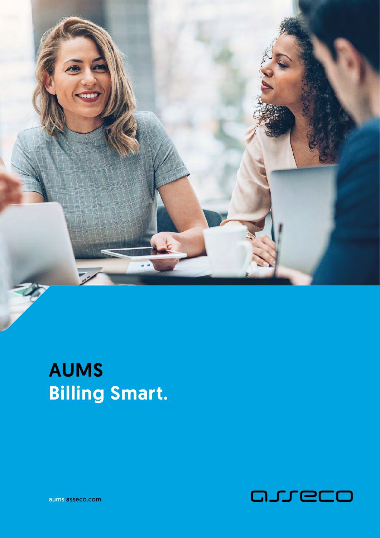

# AUMS Billing Smart.



aums.asseco.com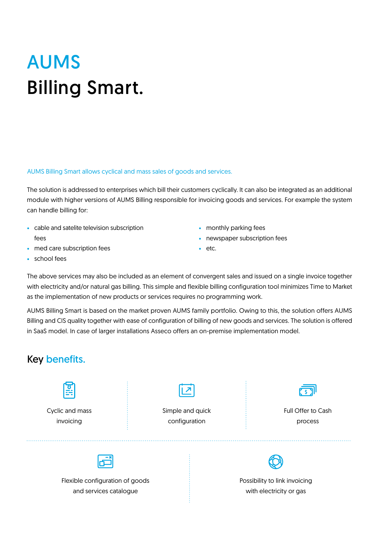# AUMS Billing Smart.

AUMS Billing Smart allows cyclical and mass sales of goods and services.

The solution is addressed to enterprises which bill their customers cyclically. It can also be integrated as an additional module with higher versions of AUMS Billing responsible for invoicing goods and services. For example the system can handle billing for:

- cable and satelite television subscription fees
- med care subscription fees
- monthly parking fees
- newspaper subscription fees
- etc.

• school fees

The above services may also be included as an element of convergent sales and issued on a single invoice together with electricity and/or natural gas billing. This simple and flexible billing configuration tool minimizes Time to Market as the implementation of new products or services requires no programming work.

AUMS Billing Smart is based on the market proven AUMS family portfolio. Owing to this, the solution offers AUMS Billing and CIS quality together with ease of configuration of billing of new goods and services. The solution is offered in SaaS model. In case of larger installations Asseco offers an on-premise implementation model.

### Key benefits.

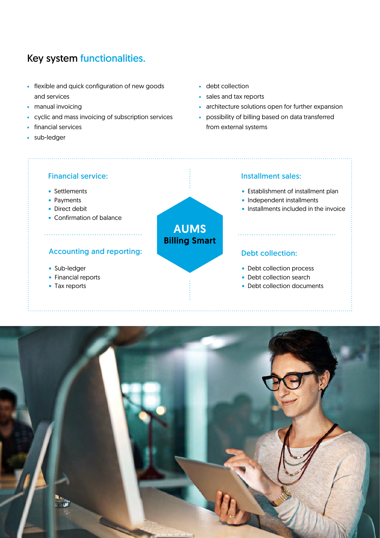### Key system functionalities.

- flexible and quick configuration of new goods and services
- manual invoicing
- cyclic and mass invoicing of subscription services
- financial services
- sub-ledger
- debt collection
- sales and tax reports
- architecture solutions open for further expansion
- possibility of billing based on data transferred from external systems

#### Financial service:

- Settlements
- Payments
- Direct debit
- Confirmation of balance

#### Accounting and reporting:

- Sub-ledger
- Financial reports
- Tax reports

## Installment sales:

- Establishment of installment plan
- Independent installments

• Installments included in the invoice

#### Debt collection:

- Debt collection process
- Debt collection search
- Debt collection documents



AUMS Billing Smart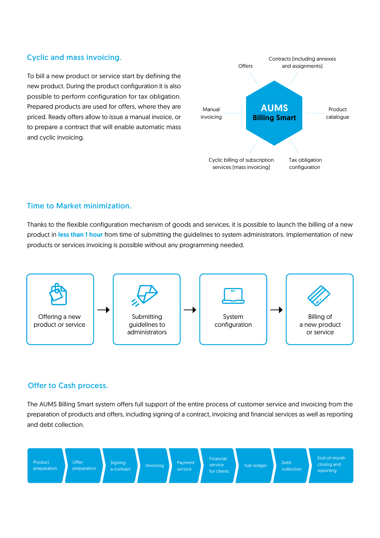#### Cyclic and mass invoicing.

To bill a new product or service start by defining the new product. During the product configuration it is also possible to perform configuration for tax obligation. Prepared products are used for offers, where they are priced. Ready offers allow to issue a manual invoice, or to prepare a contract that will enable automatic mass and cyclic invoicing.



#### Time to Market minimization.

Thanks to the flexible configuration mechanism of goods and services, it is possible to launch the billing of a new product in less than 1 hour from time of submitting the quidelines to system administrators. Implementation of new products or services invoicing is possible without any programming needed.



#### Offer to Cash process.

The AUMS Billing Smart system offers full support of the entire process of customer service and invoicing from the preparation of products and offers, including signing of a contract, invoicing and financial services as well as reporting and debt collection.

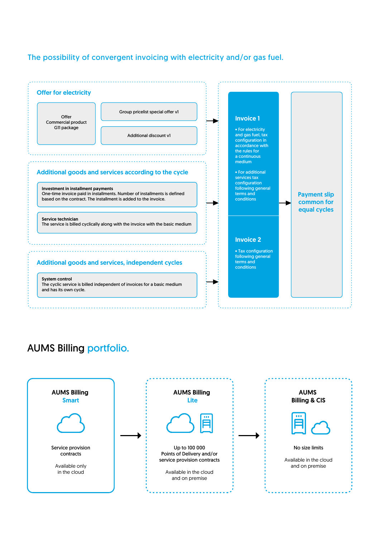#### The possibility of convergent invoicing with electricity and/or gas fuel.



## AUMS Billing portfolio.